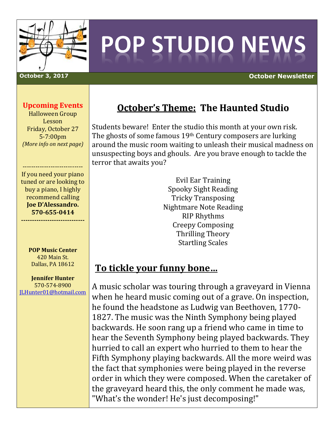

# POP STUDIO NEWS

**October 3, 2017 October Newsletter**

### **Upcoming Events**

Halloween Group Lesson Friday, October 27 5-7:00pm *(More info on next page)*

---------------------------- If you need your piano tuned or are looking to buy a piano, I highly recommend calling **Joe D'Alessandro. 570-655-0414**

**-----------------------------**

**POP Music Center** 420 Main St. Dallas, PA 18612

**Jennifer Hunter** 570-574-8900 [JLHunter01@hotmail.com](mailto:JLHunter01@hotmail.com)

# **October's Theme: The Haunted Studio**

Students beware! Enter the studio this month at your own risk. The ghosts of some famous 19th Century composers are lurking around the music room waiting to unleash their musical madness on unsuspecting boys and ghouls. Are you brave enough to tackle the terror that awaits you?

> Evil Ear Training Spooky Sight Reading Tricky Transposing Nightmare Note Reading RIP Rhythms Creepy Composing Thrilling Theory Startling Scales

## **To tickle your funny bone…**

A music scholar was touring through a graveyard in Vienna when he heard music coming out of a grave. On inspection, he found the headstone as Ludwig van Beethoven, 1770- 1827. The music was the Ninth Symphony being played backwards. He soon rang up a friend who came in time to hear the Seventh Symphony being played backwards. They hurried to call an expert who hurried to them to hear the Fifth Symphony playing backwards. All the more weird was the fact that symphonies were being played in the reverse order in which they were composed. When the caretaker of the graveyard heard this, the only comment he made was, "What's the wonder! He's just decomposing!"